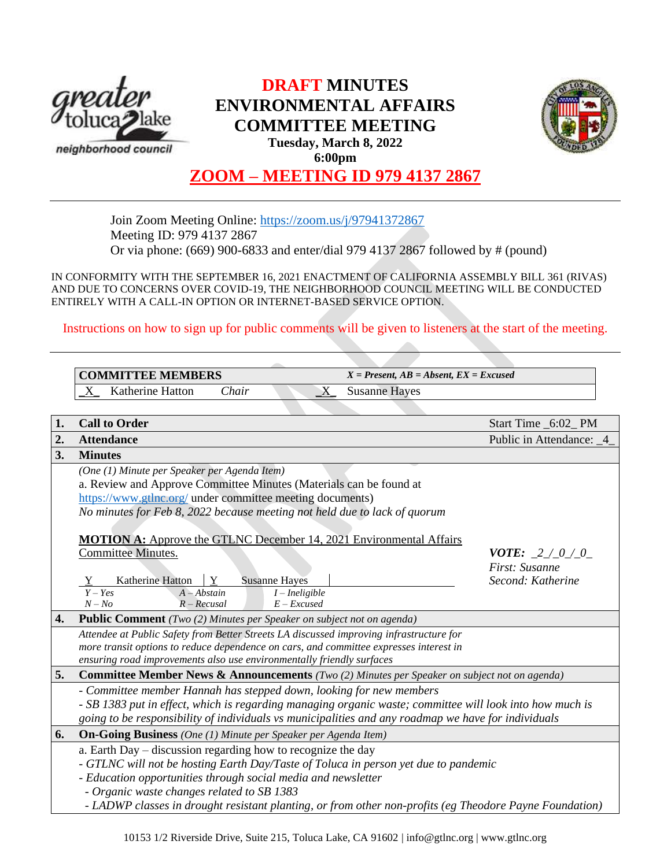

# **DRAFT MINUTES ENVIRONMENTAL AFFAIRS COMMITTEE MEETING Tuesday, March 8, 2022**



**6:00pm**

## **ZOOM – MEETING ID 979 4137 2867**

Join Zoom Meeting Online:<https://zoom.us/j/97941372867> Meeting ID: 979 4137 2867 Or via phone: (669) 900-6833 and enter/dial 979 4137 2867 followed by # (pound)

IN CONFORMITY WITH THE SEPTEMBER 16, 2021 ENACTMENT OF CALIFORNIA ASSEMBLY BILL 361 (RIVAS) AND DUE TO CONCERNS OVER COVID-19, THE NEIGHBORHOOD COUNCIL MEETING WILL BE CONDUCTED ENTIRELY WITH A CALL-IN OPTION OR INTERNET-BASED SERVICE OPTION.

Instructions on how to sign up for public comments will be given to listeners at the start of the meeting.

|    | <b>COMMITTEE MEMBERS</b>                                                                                                                                                                                                                                                                                                                                                                                          | $X = Present, AB = Absent, EX = Excused$                        |  |  |  |  |
|----|-------------------------------------------------------------------------------------------------------------------------------------------------------------------------------------------------------------------------------------------------------------------------------------------------------------------------------------------------------------------------------------------------------------------|-----------------------------------------------------------------|--|--|--|--|
|    | Katherine Hatton<br>Chair<br>X<br>$\mathbf{X}$                                                                                                                                                                                                                                                                                                                                                                    | <b>Susanne Hayes</b>                                            |  |  |  |  |
|    |                                                                                                                                                                                                                                                                                                                                                                                                                   |                                                                 |  |  |  |  |
| 1. | <b>Call to Order</b>                                                                                                                                                                                                                                                                                                                                                                                              | Start Time _6:02_PM                                             |  |  |  |  |
| 2. | <b>Attendance</b>                                                                                                                                                                                                                                                                                                                                                                                                 | Public in Attendance: _4_                                       |  |  |  |  |
| 3. | <b>Minutes</b>                                                                                                                                                                                                                                                                                                                                                                                                    |                                                                 |  |  |  |  |
|    | (One (1) Minute per Speaker per Agenda Item)<br>a. Review and Approve Committee Minutes (Materials can be found at<br>https://www.gtlnc.org/ under committee meeting documents)<br>No minutes for Feb 8, 2022 because meeting not held due to lack of quorum<br><b>MOTION A:</b> Approve the GTLNC December 14, 2021 Environmental Affairs<br>Committee Minutes.<br>Katherine Hatton<br>Y<br><b>Susanne Hayes</b> | <b>VOTE:</b> $2 / 0 / 0$<br>First: Susanne<br>Second: Katherine |  |  |  |  |
|    | $Y - Yes$<br>$A - Abstain$<br>$\overline{I}$ - Ineligible<br>$N - No$<br>$R - Recusal$<br>$E - Excused$                                                                                                                                                                                                                                                                                                           |                                                                 |  |  |  |  |
| 4. | <b>Public Comment</b> (Two (2) Minutes per Speaker on subject not on agenda)                                                                                                                                                                                                                                                                                                                                      |                                                                 |  |  |  |  |
|    | Attendee at Public Safety from Better Streets LA discussed improving infrastructure for<br>more transit options to reduce dependence on cars, and committee expresses interest in<br>ensuring road improvements also use environmentally friendly surfaces                                                                                                                                                        |                                                                 |  |  |  |  |
| 5. | Committee Member News & Announcements (Two (2) Minutes per Speaker on subject not on agenda)                                                                                                                                                                                                                                                                                                                      |                                                                 |  |  |  |  |
|    | - Committee member Hannah has stepped down, looking for new members<br>- SB 1383 put in effect, which is regarding managing organic waste; committee will look into how much is<br>going to be responsibility of individuals vs municipalities and any roadmap we have for individuals                                                                                                                            |                                                                 |  |  |  |  |
| 6. | <b>On-Going Business</b> (One (1) Minute per Speaker per Agenda Item)                                                                                                                                                                                                                                                                                                                                             |                                                                 |  |  |  |  |
|    | a. Earth Day – discussion regarding how to recognize the day<br>- GTLNC will not be hosting Earth Day/Taste of Toluca in person yet due to pandemic<br>- Education opportunities through social media and newsletter<br>- Organic waste changes related to SB 1383<br>- LADWP classes in drought resistant planting, or from other non-profits (eg Theodore Payne Foundation)                                     |                                                                 |  |  |  |  |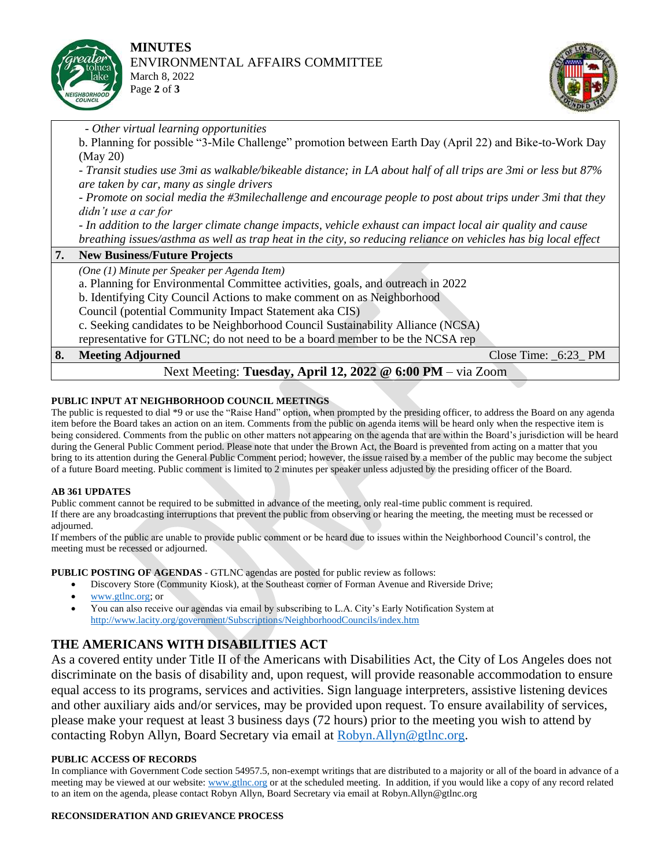



 *- Other virtual learning opportunities*

b. Planning for possible "3-Mile Challenge" promotion between Earth Day (April 22) and Bike-to-Work Day (May 20)

*- Transit studies use 3mi as walkable/bikeable distance; in LA about half of all trips are 3mi or less but 87% are taken by car, many as single drivers*

*- Promote on social media the #3milechallenge and encourage people to post about trips under 3mi that they didn't use a car for*

*- In addition to the larger climate change impacts, vehicle exhaust can impact local air quality and cause breathing issues/asthma as well as trap heat in the city, so reducing reliance on vehicles has big local effect*

**7. New Business/Future Projects**

*(One (1) Minute per Speaker per Agenda Item)*

a. Planning for Environmental Committee activities, goals, and outreach in 2022

b. Identifying City Council Actions to make comment on as Neighborhood

Council (potential Community Impact Statement aka CIS)

c. Seeking candidates to be Neighborhood Council Sustainability Alliance (NCSA)

representative for GTLNC; do not need to be a board member to be the NCSA rep

|                                                            | <b>8.</b> Meeting Adjourned |  |  | Close Time: $6:23$ PM |  |  |  |
|------------------------------------------------------------|-----------------------------|--|--|-----------------------|--|--|--|
| Next Meeting: Tuesday, April 12, 2022 @ 6:00 PM – via Zoom |                             |  |  |                       |  |  |  |
|                                                            |                             |  |  |                       |  |  |  |

### **PUBLIC INPUT AT NEIGHBORHOOD COUNCIL MEETINGS**

The public is requested to dial \*9 or use the "Raise Hand" option, when prompted by the presiding officer, to address the Board on any agenda item before the Board takes an action on an item. Comments from the public on agenda items will be heard only when the respective item is being considered. Comments from the public on other matters not appearing on the agenda that are within the Board's jurisdiction will be heard during the General Public Comment period. Please note that under the Brown Act, the Board is prevented from acting on a matter that you bring to its attention during the General Public Comment period; however, the issue raised by a member of the public may become the subject of a future Board meeting. Public comment is limited to 2 minutes per speaker unless adjusted by the presiding officer of the Board.

### **AB 361 UPDATES**

Public comment cannot be required to be submitted in advance of the meeting, only real-time public comment is required. If there are any broadcasting interruptions that prevent the public from observing or hearing the meeting, the meeting must be recessed or adjourned.

If members of the public are unable to provide public comment or be heard due to issues within the Neighborhood Council's control, the meeting must be recessed or adjourned.

**PUBLIC POSTING OF AGENDAS** - GTLNC agendas are posted for public review as follows:

- Discovery Store (Community Kiosk), at the Southeast corner of Forman Avenue and Riverside Drive;
- [www.gtlnc.org;](http://www.gtlnc.org/) or
- You can also receive our agendas via email by subscribing to L.A. City's Early Notification System at <http://www.lacity.org/government/Subscriptions/NeighborhoodCouncils/index.htm>

### **THE AMERICANS WITH DISABILITIES ACT**

As a covered entity under Title II of the Americans with Disabilities Act, the City of Los Angeles does not discriminate on the basis of disability and, upon request, will provide reasonable accommodation to ensure equal access to its programs, services and activities. Sign language interpreters, assistive listening devices and other auxiliary aids and/or services, may be provided upon request. To ensure availability of services, please make your request at least 3 business days (72 hours) prior to the meeting you wish to attend by contacting Robyn Allyn, Board Secretary via email at [Robyn.Allyn@gtlnc.org.](mailto:Robyn.Allyn@gtlnc.org)

### **PUBLIC ACCESS OF RECORDS**

In compliance with Government Code section 54957.5, non-exempt writings that are distributed to a majority or all of the board in advance of a meeting may be viewed at our website: [www.gtlnc.org](http://www.gtlnc.org/) or at the scheduled meeting. In addition, if you would like a copy of any record related to an item on the agenda, please contact Robyn Allyn, Board Secretary via email at Robyn.Allyn@gtlnc.org

### **RECONSIDERATION AND GRIEVANCE PROCESS**